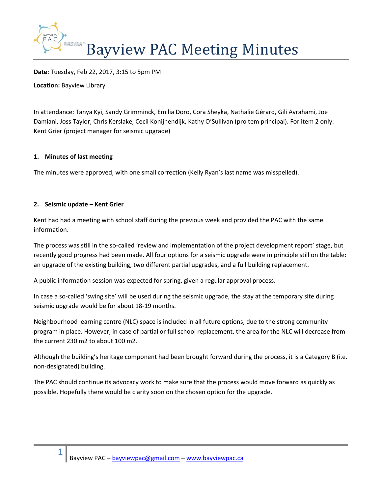

**Date:** Tuesday, Feb 22, 2017, 3:15 to 5pm PM

**Location:** Bayview Library

In attendance: Tanya Kyi, Sandy Grimminck, Emilia Doro, Cora Sheyka, Nathalie Gérard, Gili Avrahami, Joe Damiani, Joss Taylor, Chris Kerslake, Cecil Konijnendijk, Kathy O'Sullivan (pro tem principal). For item 2 only: Kent Grier (project manager for seismic upgrade)

### **1. Minutes of last meeting**

The minutes were approved, with one small correction (Kelly Ryan's last name was misspelled).

## **2. Seismic update – Kent Grier**

**1**

Kent had had a meeting with school staff during the previous week and provided the PAC with the same information.

The process was still in the so-called 'review and implementation of the project development report' stage, but recently good progress had been made. All four options for a seismic upgrade were in principle still on the table: an upgrade of the existing building, two different partial upgrades, and a full building replacement.

A public information session was expected for spring, given a regular approval process.

In case a so-called 'swing site' will be used during the seismic upgrade, the stay at the temporary site during seismic upgrade would be for about 18-19 months.

Neighbourhood learning centre (NLC) space is included in all future options, due to the strong community program in place. However, in case of partial or full school replacement, the area for the NLC will decrease from the current 230 m2 to about 100 m2.

Although the building's heritage component had been brought forward during the process, it is a Category B (i.e. non-designated) building.

The PAC should continue its advocacy work to make sure that the process would move forward as quickly as possible. Hopefully there would be clarity soon on the chosen option for the upgrade.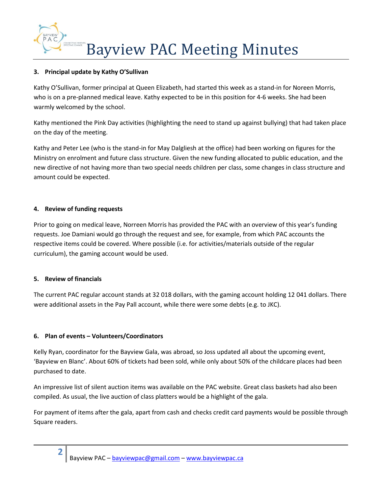

## **3. Principal update by Kathy O'Sullivan**

Kathy O'Sullivan, former principal at Queen Elizabeth, had started this week as a stand-in for Noreen Morris, who is on a pre-planned medical leave. Kathy expected to be in this position for 4-6 weeks. She had been warmly welcomed by the school.

Kathy mentioned the Pink Day activities (highlighting the need to stand up against bullying) that had taken place on the day of the meeting.

Kathy and Peter Lee (who is the stand-in for May Dalgliesh at the office) had been working on figures for the Ministry on enrolment and future class structure. Given the new funding allocated to public education, and the new directive of not having more than two special needs children per class, some changes in class structure and amount could be expected.

## **4. Review of funding requests**

Prior to going on medical leave, Norreen Morris has provided the PAC with an overview of this year's funding requests. Joe Damiani would go through the request and see, for example, from which PAC accounts the respective items could be covered. Where possible (i.e. for activities/materials outside of the regular curriculum), the gaming account would be used.

# **5. Review of financials**

**2**

The current PAC regular account stands at 32 018 dollars, with the gaming account holding 12 041 dollars. There were additional assets in the Pay Pall account, while there were some debts (e.g. to JKC).

### **6. Plan of events – Volunteers/Coordinators**

Kelly Ryan, coordinator for the Bayview Gala, was abroad, so Joss updated all about the upcoming event, 'Bayview en Blanc'. About 60% of tickets had been sold, while only about 50% of the childcare places had been purchased to date.

An impressive list of silent auction items was available on the PAC website. Great class baskets had also been compiled. As usual, the live auction of class platters would be a highlight of the gala.

For payment of items after the gala, apart from cash and checks credit card payments would be possible through Square readers.